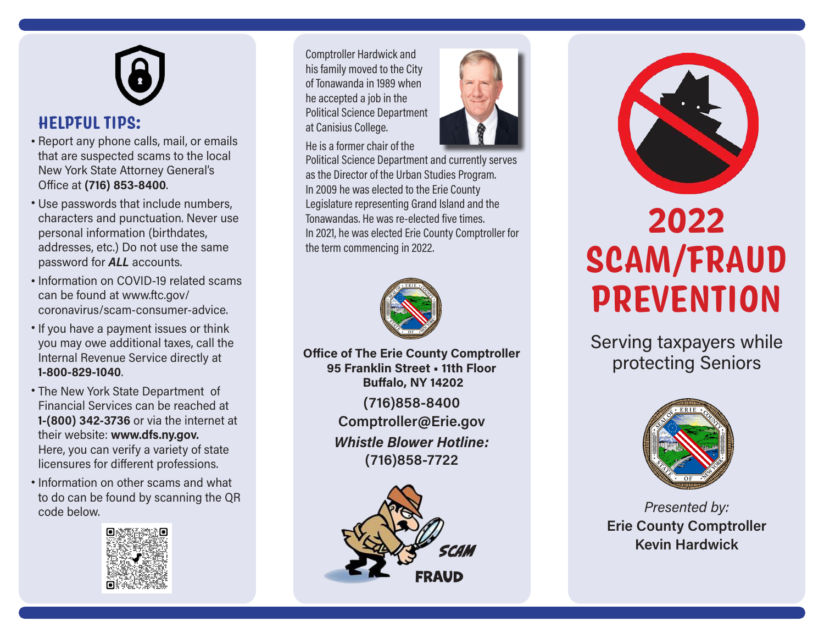# **HELPFUL TIPS:**

- Report any phone calls, mail, or emails that are suspected scams to the local New York State Attorney General's Office at **(716) 853-8400**.
- Use passwords that include numbers, characters and punctuation. Never use personal information (birthdates, addresses, etc.) Do not use the same password for *ALL* accounts.
- Information on COVID-19 related scams can be found at www.ftc.gov/ coronavirus/scam-consumer-advice.
- If you have a payment issues or think you may owe additional taxes, call the Internal Revenue Service directly at **1-800-829-1040**.
- The New York State Department of Financial Services can be reached at **1-(800) 342-3736** or via the internet at their website: **www.dfs.ny.gov.** Here, you can verify a variety of state licensures for different professions.
- Information on other scams and what to do can be found by scanning the QR code below.



Comptroller Hardwick and his family moved to the City of Tonawanda in 1989 when he accepted a job in the Political Science Department at Canisius College.

He is a former chair of the



Political Science Department and currently serves as the Director of the Urban Studies Program. In 2009 he was elected to the Erie County Legislature representing Grand Island and the Tonawandas. He was re-elected five times. In 2021, he was elected Erie County Comptroller for the term commencing in 2022.



**Office of The Erie County Comptroller 95 Franklin Street • 11th Floor Buffalo, NY 14202**

> **(716)858-8400 Comptroller@Erie.gov** *Whistle Blower Hotline:* **(716)858-7722**





# **2022 SCAM/FRAUD PREVENTION**

Serving taxpayers while protecting Seniors



*Presented by:* **Erie County Comptroller Kevin Hardwick**